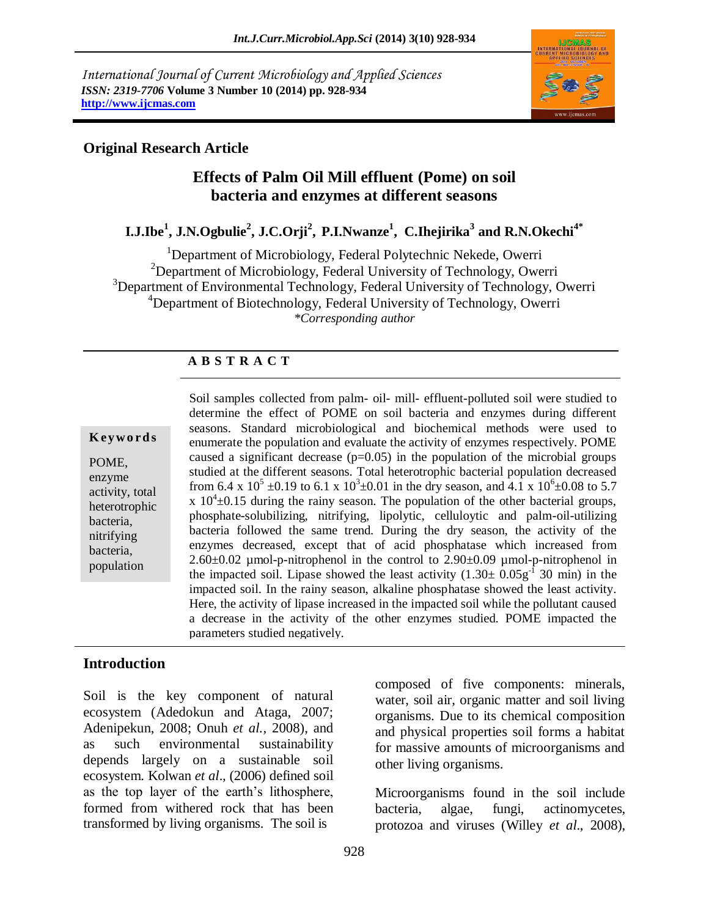*International Journal of Current Microbiology and Applied Sciences ISSN: 2319-7706* **Volume 3 Number 10 (2014) pp. 928-934 http://www.ijcmas.com**



## **Original Research Article**

## **Effects of Palm Oil Mill effluent (Pome) on soil bacteria and enzymes at different seasons**

## **I.J.Ibe<sup>1</sup> , J.N.Ogbulie<sup>2</sup> , J.C.Orji<sup>2</sup> , P.I.Nwanze<sup>1</sup> , C.Ihejirika<sup>3</sup> and R.N.Okechi4\***

<sup>1</sup>Department of Microbiology, Federal Polytechnic Nekede, Owerri  $2D$ epartment of Microbiology, Federal University of Technology, Owerri <sup>3</sup>Department of Environmental Technology, Federal University of Technology, Owerri <sup>4</sup>Department of Biotechnology, Federal University of Technology, Owerri *\*Corresponding author*

## **A B S T R A C T**

#### **K ey w o rd s**

POME, enzyme activity, total heterotrophic bacteria, nitrifying bacteria, population

Soil samples collected from palm- oil- mill- effluent-polluted soil were studied to determine the effect of POME on soil bacteria and enzymes during different seasons. Standard microbiological and biochemical methods were used to enumerate the population and evaluate the activity of enzymes respectively. POME caused a significant decrease  $(p=0.05)$  in the population of the microbial groups studied at the different seasons. Total heterotrophic bacterial population decreased from 6.4 x  $10^5 \pm 0.19$  to 6.1 x  $10^3 \pm 0.01$  in the dry season, and  $4.1$  x  $10^6 \pm 0.08$  to 5.7  $x 10<sup>4</sup> \pm 0.15$  during the rainy season. The population of the other bacterial groups, phosphate-solubilizing, nitrifying, lipolytic, celluloytic and palm-oil-utilizing bacteria followed the same trend. During the dry season, the activity of the enzymes decreased, except that of acid phosphatase which increased from  $2.60\pm0.02$  µmol-p-nitrophenol in the control to  $2.90\pm0.09$  µmol-p-nitrophenol in the impacted soil. Lipase showed the least activity  $(1.30 \pm 0.05g^{-1} 30 \text{ min})$  in the impacted soil. In the rainy season, alkaline phosphatase showed the least activity. Here, the activity of lipase increased in the impacted soil while the pollutant caused a decrease in the activity of the other enzymes studied. POME impacted the parameters studied negatively.

#### **Introduction**

Soil is the key component of natural ecosystem (Adedokun and Ataga, 2007; Adenipekun, 2008; Onuh *et al.,* 2008), and as such environmental sustainability depends largely on a sustainable soil ecosystem. Kolwan *et al*., (2006) defined soil as the top layer of the earth's lithosphere, formed from withered rock that has been transformed by living organisms. The soil is

composed of five components: minerals, water, soil air, organic matter and soil living organisms. Due to its chemical composition and physical properties soil forms a habitat for massive amounts of microorganisms and other living organisms.

Microorganisms found in the soil include bacteria, algae, fungi, actinomycetes, protozoa and viruses (Willey *et al*., 2008),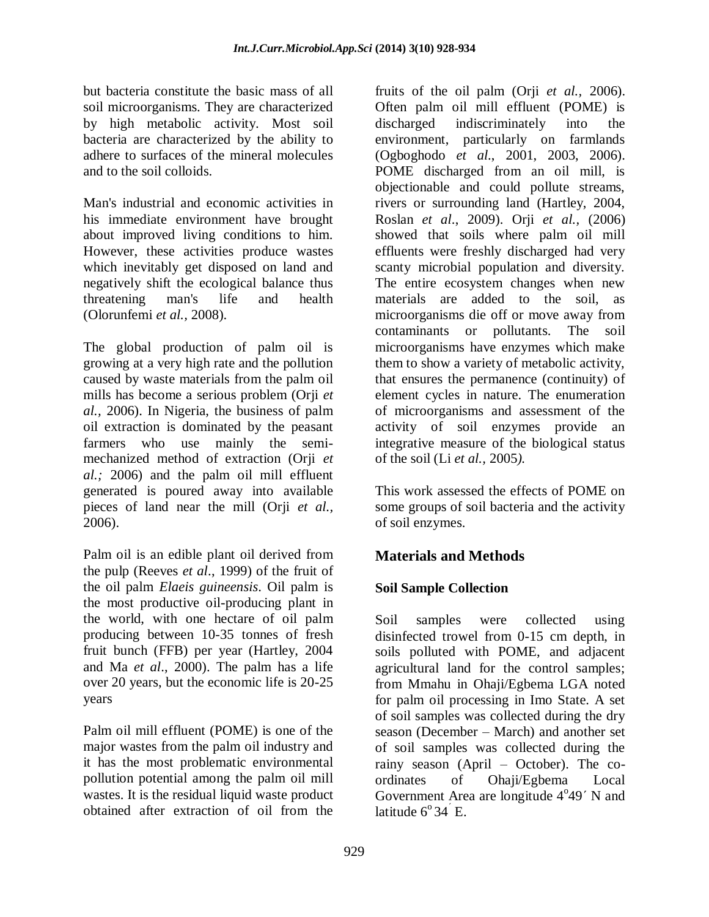but bacteria constitute the basic mass of all soil microorganisms. They are characterized by high metabolic activity. Most soil bacteria are characterized by the ability to adhere to surfaces of the mineral molecules and to the soil colloids.

Man's industrial and economic activities in his immediate environment have brought about improved living conditions to him. However, these activities produce wastes which inevitably get disposed on land and negatively shift the ecological balance thus threatening man's life and health (Olorunfemi *et al.,* 2008).

The global production of palm oil is growing at a very high rate and the pollution caused by waste materials from the palm oil mills has become a serious problem (Orji *et al.,* 2006). In Nigeria, the business of palm oil extraction is dominated by the peasant farmers who use mainly the semimechanized method of extraction (Orji *et al.;* 2006) and the palm oil mill effluent generated is poured away into available pieces of land near the mill (Orji *et al.,*  2006).

Palm oil is an edible plant oil derived from the pulp (Reeves *et al*., 1999) of the fruit of the oil palm *Elaeis guineensis*. Oil palm is the most productive oil-producing plant in the world, with one hectare of oil palm producing between 10-35 tonnes of fresh fruit bunch (FFB) per year (Hartley, 2004 and Ma *et al*., 2000). The palm has a life over 20 years, but the economic life is 20-25 years

Palm oil mill effluent (POME) is one of the major wastes from the palm oil industry and it has the most problematic environmental pollution potential among the palm oil mill wastes. It is the residual liquid waste product obtained after extraction of oil from the

fruits of the oil palm (Orji *et al.,* 2006). Often palm oil mill effluent (POME) is discharged indiscriminately into the environment, particularly on farmlands (Ogboghodo *et al*., 2001, 2003, 2006). POME discharged from an oil mill, is objectionable and could pollute streams, rivers or surrounding land (Hartley, 2004, Roslan *et al*., 2009). Orji *et al.,* (2006) showed that soils where palm oil mill effluents were freshly discharged had very scanty microbial population and diversity. The entire ecosystem changes when new materials are added to the soil, as microorganisms die off or move away from contaminants or pollutants. The soil microorganisms have enzymes which make them to show a variety of metabolic activity, that ensures the permanence (continuity) of element cycles in nature. The enumeration of microorganisms and assessment of the activity of soil enzymes provide an integrative measure of the biological status of the soil (Li *et al.,* 2005*).* 

This work assessed the effects of POME on some groups of soil bacteria and the activity of soil enzymes.

# **Materials and Methods**

## **Soil Sample Collection**

Soil samples were collected using disinfected trowel from 0-15 cm depth, in soils polluted with POME, and adjacent agricultural land for the control samples; from Mmahu in Ohaji/Egbema LGA noted for palm oil processing in Imo State. A set of soil samples was collected during the dry season (December – March) and another set of soil samples was collected during the rainy season (April – October). The coordinates of Ohaji/Egbema Local Government Area are longitude  $4^{\circ}49'$  N and latitude  $6^{\circ}34^{\circ}$  E.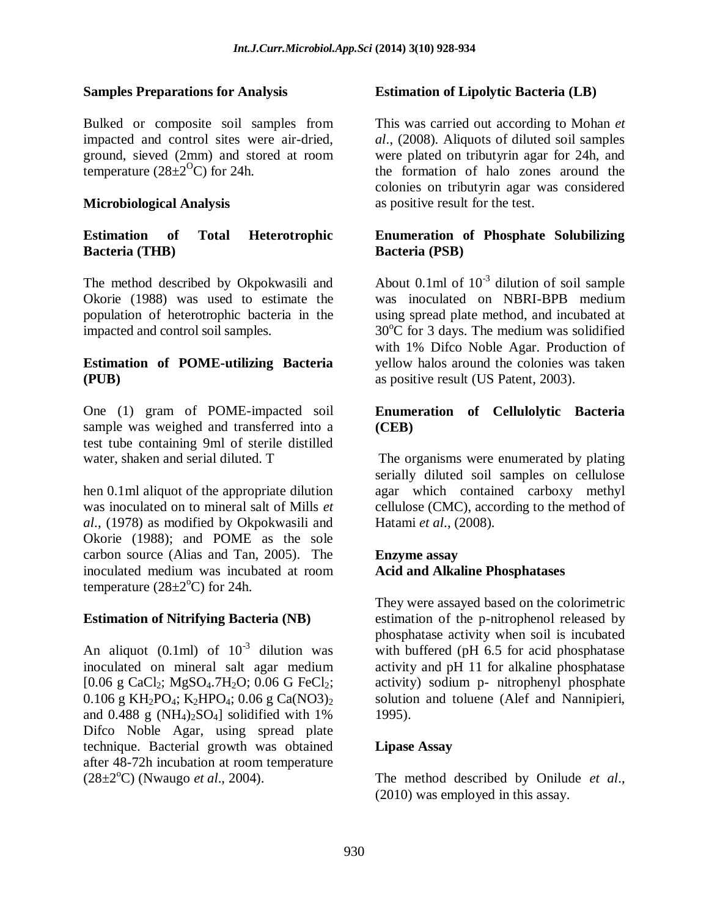#### **Samples Preparations for Analysis**

Bulked or composite soil samples from impacted and control sites were air-dried, ground, sieved (2mm) and stored at room temperature ( $28\pm2$ <sup>O</sup>C) for 24h.

#### **Microbiological Analysis**

#### **Estimation of Total Heterotrophic Bacteria (THB)**

The method described by Okpokwasili and Okorie (1988) was used to estimate the population of heterotrophic bacteria in the impacted and control soil samples.

### **Estimation of POME-utilizing Bacteria (PUB)**

One (1) gram of POME-impacted soil sample was weighed and transferred into a test tube containing 9ml of sterile distilled water, shaken and serial diluted. T

hen 0.1ml aliquot of the appropriate dilution was inoculated on to mineral salt of Mills *et al*., (1978) as modified by Okpokwasili and Okorie (1988); and POME as the sole carbon source (Alias and Tan, 2005). The inoculated medium was incubated at room temperature  $(28\pm2\degree C)$  for 24h.

#### **Estimation of Nitrifying Bacteria (NB)**

An aliquot  $(0.1 \text{ml})$  of  $10^{-3}$  dilution was inoculated on mineral salt agar medium [0.06 g CaCl<sub>2</sub>; MgSO<sub>4</sub>.7H<sub>2</sub>O; 0.06 G FeCl<sub>2</sub>; 0.106 g KH<sub>2</sub>PO<sub>4</sub>; K<sub>2</sub>HPO<sub>4</sub>; 0.06 g Ca(NO3)<sub>2</sub> and  $0.488$  g (NH<sub>4</sub>)<sub>2</sub>SO<sub>4</sub>] solidified with 1% Difco Noble Agar, using spread plate technique. Bacterial growth was obtained after 48-72h incubation at room temperature (28±2<sup>o</sup>C) (Nwaugo *et al.*, 2004).

#### **Estimation of Lipolytic Bacteria (LB)**

This was carried out according to Mohan *et al*., (2008). Aliquots of diluted soil samples were plated on tributyrin agar for 24h, and the formation of halo zones around the colonies on tributyrin agar was considered as positive result for the test.

#### **Enumeration of Phosphate Solubilizing Bacteria (PSB)**

About 0.1ml of  $10^{-3}$  dilution of soil sample was inoculated on NBRI-BPB medium using spread plate method, and incubated at  $30^{\circ}$ C for 3 days. The medium was solidified with 1% Difco Noble Agar. Production of yellow halos around the colonies was taken as positive result (US Patent, 2003).

### **Enumeration of Cellulolytic Bacteria (CEB)**

The organisms were enumerated by plating serially diluted soil samples on cellulose agar which contained carboxy methyl cellulose (CMC), according to the method of Hatami *et al*., (2008).

#### **Enzyme assay Acid and Alkaline Phosphatases**

They were assayed based on the colorimetric estimation of the p-nitrophenol released by phosphatase activity when soil is incubated with buffered (pH 6.5 for acid phosphatase) activity and pH 11 for alkaline phosphatase activity) sodium p- nitrophenyl phosphate solution and toluene (Alef and Nannipieri, 1995).

#### **Lipase Assay**

The method described by Onilude *et al*., (2010) was employed in this assay.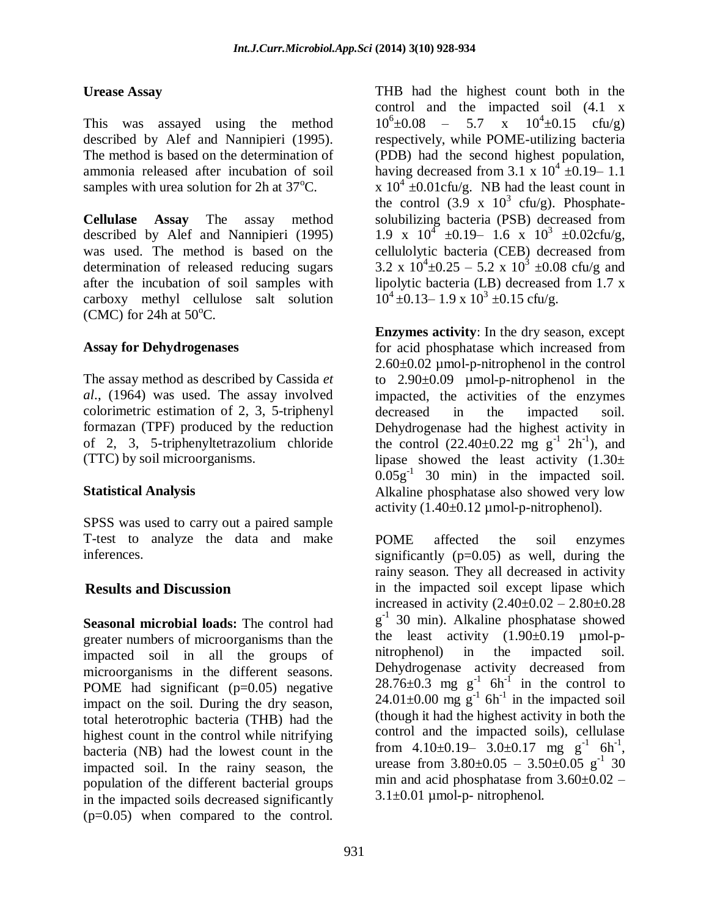### **Urease Assay**

This was assayed using the method described by Alef and Nannipieri (1995). The method is based on the determination of ammonia released after incubation of soil samples with urea solution for 2h at  $37^{\circ}$ C.

**Cellulase Assay** The assay method described by Alef and Nannipieri (1995) was used. The method is based on the determination of released reducing sugars after the incubation of soil samples with carboxy methyl cellulose salt solution (CMC) for 24h at  $50^{\circ}$ C.

## **Assay for Dehydrogenases**

The assay method as described by Cassida *et al*., (1964) was used. The assay involved colorimetric estimation of 2, 3, 5-triphenyl formazan (TPF) produced by the reduction of 2, 3, 5-triphenyltetrazolium chloride (TTC) by soil microorganisms.

## **Statistical Analysis**

SPSS was used to carry out a paired sample T-test to analyze the data and make inferences.

## **Results and Discussion**

**Seasonal microbial loads:** The control had greater numbers of microorganisms than the impacted soil in all the groups of microorganisms in the different seasons. POME had significant (p=0.05) negative impact on the soil. During the dry season, total heterotrophic bacteria (THB) had the highest count in the control while nitrifying bacteria (NB) had the lowest count in the impacted soil. In the rainy season, the population of the different bacterial groups in the impacted soils decreased significantly (p=0.05) when compared to the control.

THB had the highest count both in the control and the impacted soil (4.1 x  $10^6 \pm 0.08$  – 5.7 x  $10^4 \pm 0.15$  cfu/g) respectively, while POME-utilizing bacteria (PDB) had the second highest population, having decreased from  $3.1 \times 10^4 \pm 0.19 - 1.1$ x  $10^4 \pm 0.01$ cfu/g. NB had the least count in the control  $(3.9 \times 10^3 \text{ cfty/g})$ . Phosphatesolubilizing bacteria (PSB) decreased from 1.9 x  $10^4$  ±0.19 – 1.6 x  $10^3$  ±0.02cfu/g, cellulolytic bacteria (CEB) decreased from 3.2 x  $10^4 \pm 0.25 - 5.2$  x  $10^3 \pm 0.08$  cfu/g and lipolytic bacteria (LB) decreased from 1.7 x  $10^4 \pm 0.13 - 1.9 \times 10^3 \pm 0.15$  cfu/g.

**Enzymes activity**: In the dry season, except for acid phosphatase which increased from 2.60±0.02 µmol-p-nitrophenol in the control to 2.90±0.09 µmol-p-nitrophenol in the impacted, the activities of the enzymes decreased in the impacted soil. Dehydrogenase had the highest activity in the control  $(22.40 \pm 0.22 \text{ mg g}^{-1} 2\text{h}^{-1})$ , and lipase showed the least activity  $(1.30\pm$  $0.05g^{-1}$  30 min) in the impacted soil. Alkaline phosphatase also showed very low activity  $(1.40\pm0.12 \mu \text{mol-p-nitrophenol}).$ 

POME affected the soil enzymes significantly  $(p=0.05)$  as well, during the rainy season. They all decreased in activity in the impacted soil except lipase which increased in activity  $(2.40 \pm 0.02 - 2.80 \pm 0.28)$  $g^{-1}$  30 min). Alkaline phosphatase showed the least activity  $(1.90\pm0.19 \text{ \mu mol-p-}$ nitrophenol) in the impacted soil. Dehydrogenase activity decreased from  $28.76\pm0.3$  mg g<sup>-1</sup> 6h<sup>-1</sup> in the control to  $24.01\pm0.00$  mg g<sup>-1</sup> 6h<sup>-1</sup> in the impacted soil (though it had the highest activity in both the control and the impacted soils), cellulase from  $4.10\pm0.19-3.0\pm0.17$  mg g<sup>-1</sup> 6h<sup>-1</sup>, urease from  $3.80 \pm 0.05 - 3.50 \pm 0.05$  g<sup>-1</sup> 30 min and acid phosphatase from  $3.60\pm0.02$  –  $3.1\pm0.01$  µmol-p- nitrophenol.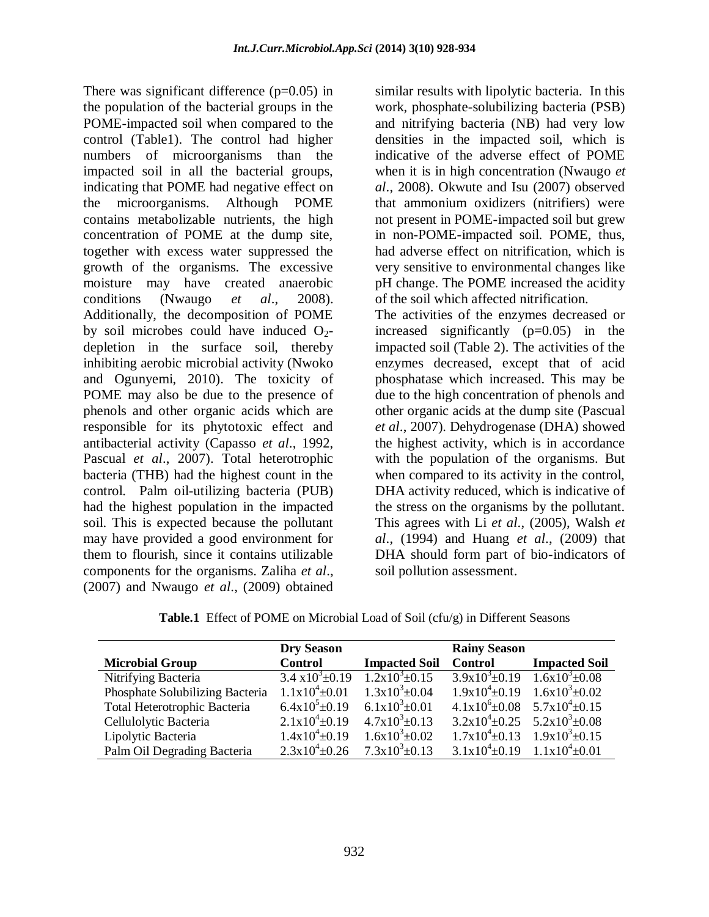There was significant difference  $(p=0.05)$  in the population of the bacterial groups in the POME-impacted soil when compared to the control (Table1). The control had higher numbers of microorganisms than the impacted soil in all the bacterial groups, indicating that POME had negative effect on the microorganisms. Although POME contains metabolizable nutrients, the high concentration of POME at the dump site, together with excess water suppressed the growth of the organisms. The excessive moisture may have created anaerobic conditions (Nwaugo *et al*., 2008). Additionally, the decomposition of POME by soil microbes could have induced  $O_2$ depletion in the surface soil, thereby inhibiting aerobic microbial activity (Nwoko and Ogunyemi, 2010). The toxicity of POME may also be due to the presence of phenols and other organic acids which are responsible for its phytotoxic effect and antibacterial activity (Capasso *et al*., 1992, Pascual *et al*., 2007). Total heterotrophic bacteria (THB) had the highest count in the control. Palm oil-utilizing bacteria (PUB) had the highest population in the impacted soil. This is expected because the pollutant may have provided a good environment for them to flourish, since it contains utilizable components for the organisms. Zaliha *et al*., (2007) and Nwaugo *et al*., (2009) obtained

similar results with lipolytic bacteria. In this work, phosphate-solubilizing bacteria (PSB) and nitrifying bacteria (NB) had very low densities in the impacted soil, which is indicative of the adverse effect of POME when it is in high concentration (Nwaugo *et al*., 2008). Okwute and Isu (2007) observed that ammonium oxidizers (nitrifiers) were not present in POME-impacted soil but grew in non-POME-impacted soil. POME, thus, had adverse effect on nitrification, which is very sensitive to environmental changes like pH change. The POME increased the acidity of the soil which affected nitrification.

The activities of the enzymes decreased or increased significantly (p=0.05) in the impacted soil (Table 2). The activities of the enzymes decreased, except that of acid phosphatase which increased. This may be due to the high concentration of phenols and other organic acids at the dump site (Pascual *et al*., 2007). Dehydrogenase (DHA) showed the highest activity, which is in accordance with the population of the organisms. But when compared to its activity in the control, DHA activity reduced, which is indicative of the stress on the organisms by the pollutant. This agrees with Li *et al*., (2005), Walsh *et al*., (1994) and Huang *et al*., (2009) that DHA should form part of bio-indicators of soil pollution assessment.

**Table.1** Effect of POME on Microbial Load of Soil (cfu/g) in Different Seasons

|                                 | <b>Dry Season</b>                       |                            | <b>Rainy Season</b>                           |                      |
|---------------------------------|-----------------------------------------|----------------------------|-----------------------------------------------|----------------------|
| <b>Microbial Group</b>          | <b>Control</b>                          | <b>Impacted Soil</b>       | Control                                       | <b>Impacted Soil</b> |
| Nitrifying Bacteria             | $3.4 \times 10^3 \pm 0.19$              | $1.2 \times 10^3 \pm 0.15$ | $\frac{3.9x10^3 \pm 0.19}{3.9x10^3 \pm 0.08}$ |                      |
| Phosphate Solubilizing Bacteria | $1.1x10^4 \pm 0.01$                     | $1.3x10^{3} \pm 0.04$      | $1.9x10^4 \pm 0.19$ $1.6x10^3 \pm 0.02$       |                      |
| Total Heterotrophic Bacteria    | $6.4x10^{5} \pm 0.19$                   | $6.1x10^{3} \pm 0.01$      | $4.1x10^{6} \pm 0.08$ $5.7x10^{4} \pm 0.15$   |                      |
| Cellulolytic Bacteria           | $2.1x10^4\pm0.19$                       | $4.7x10^{3} \pm 0.13$      | $3.2x10^4 \pm 0.25$ $5.2x10^3 \pm 0.08$       |                      |
| Lipolytic Bacteria              | $1.4x10^{4} \pm 0.19$                   | $1.6x10^{3} \pm 0.02$      | $1.7x10^{4} \pm 0.13$ $1.9x10^{3} \pm 0.15$   |                      |
| Palm Oil Degrading Bacteria     | $2.3x10^4 \pm 0.26$ $7.3x10^3 \pm 0.13$ |                            | $3.1x10^4 \pm 0.19$ $1.1x10^4 \pm 0.01$       |                      |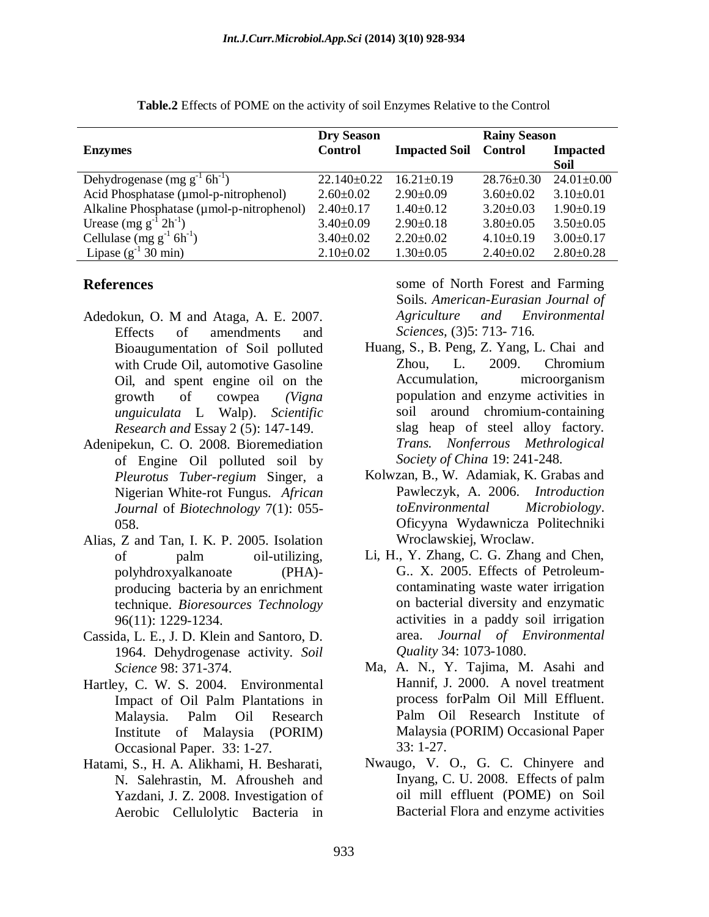|                                               | <b>Dry Season</b> |                      | <b>Rainy Season</b> |                  |
|-----------------------------------------------|-------------------|----------------------|---------------------|------------------|
| <b>Enzymes</b>                                | <b>Control</b>    | <b>Impacted Soil</b> | <b>Control</b>      | <b>Impacted</b>  |
|                                               |                   |                      |                     | Soil             |
| Dehydrogenase (mg $g^{-1}$ 6h <sup>-1</sup> ) | $22.140 \pm 0.22$ | $16.21 \pm 0.19$     | $28.76 \pm 0.30$    | $24.01 \pm 0.00$ |
| Acid Phosphatase (µmol-p-nitrophenol)         | $2.60 \pm 0.02$   | $2.90 \pm 0.09$      | $3.60 \pm 0.02$     | $3.10\pm0.01$    |
| Alkaline Phosphatase (umol-p-nitrophenol)     | $2.40 \pm 0.17$   | $1.40\pm0.12$        | $3.20 \pm 0.03$     | $1.90 \pm 0.19$  |
| Urease $(mg g^{-1} 2h^{-1})$                  | $3.40 \pm 0.09$   | $2.90 \pm 0.18$      | $3.80\pm0.05$       | $3.50\pm0.05$    |
| Cellulase (mg $g^{-1}$ 6h <sup>-1</sup> )     | $3.40 \pm 0.02$   | $2.20 \pm 0.02$      | $4.10\pm0.19$       | $3.00 \pm 0.17$  |
| Lipase $(g^{-1} 30 \text{ min})$              | $2.10\pm0.02$     | $1.30\pm0.05$        | $2.40 \pm 0.02$     | $2.80 \pm 0.28$  |

**Table.2** Effects of POME on the activity of soil Enzymes Relative to the Control

#### **References**

- Adedokun, O. M and Ataga, A. E. 2007. Effects of amendments and Bioaugumentation of Soil polluted with Crude Oil, automotive Gasoline Oil, and spent engine oil on the growth of cowpea *(Vigna unguiculata* L Walp). *Scientific Research and* Essay 2 (5): 147-149.
- Adenipekun, C. O. 2008. Bioremediation of Engine Oil polluted soil by *Pleurotus Tuber-regium* Singer, a Nigerian White-rot Fungus. *African Journal* of *Biotechnology* 7(1): 055- 058.
- Alias, Z and Tan, I. K. P. 2005. Isolation of palm oil-utilizing, polyhdroxyalkanoate (PHA) producing bacteria by an enrichment technique. *Bioresources Technology* 96(11): 1229-1234.
- Cassida, L. E., J. D. Klein and Santoro, D. 1964. Dehydrogenase activity. *Soil Science* 98: 371-374.
- Hartley, C. W. S. 2004. Environmental Impact of Oil Palm Plantations in Malaysia. Palm Oil Research Institute of Malaysia (PORIM) Occasional Paper. 33: 1-27.
- Hatami, S., H. A. Alikhami, H. Besharati, N. Salehrastin, M. Afrousheh and Yazdani, J. Z. 2008. Investigation of Aerobic Cellulolytic Bacteria in

some of North Forest and Farming Soils. *American-Eurasian Journal of Agriculture and Environmental Sciences,* (3)5: 713- 716.

- Huang, S., B. Peng, Z. Yang, L. Chai and Zhou, L. 2009. Chromium Accumulation, microorganism population and enzyme activities in soil around chromium-containing slag heap of steel alloy factory. *Trans. Nonferrous Methrological Society of China* 19: 241-248.
- Kolwzan, B., W. Adamiak, K. Grabas and Pawleczyk, A. 2006. *Introduction toEnvironmental Microbiology*. Oficyyna Wydawnicza Politechniki Wroclawskiej, Wroclaw.
- Li, H., Y. Zhang, C. G. Zhang and Chen, G.. X. 2005. Effects of Petroleumcontaminating waste water irrigation on bacterial diversity and enzymatic activities in a paddy soil irrigation area. *Journal of Environmental Quality* 34: 1073-1080.
- Ma, A. N., Y. Tajima, M. Asahi and Hannif, J. 2000. A novel treatment process forPalm Oil Mill Effluent. Palm Oil Research Institute of Malaysia (PORIM) Occasional Paper 33: 1-27.
- Nwaugo, V. O., G. C. Chinyere and Inyang, C. U. 2008. Effects of palm oil mill effluent (POME) on Soil Bacterial Flora and enzyme activities